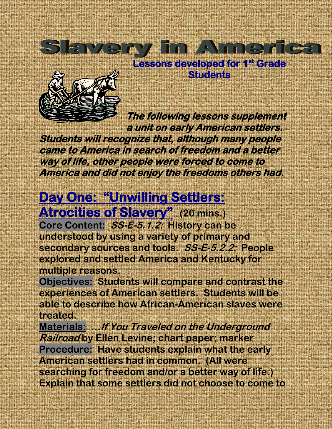



**The following lessons supplement a unit on early American settlers.** 

**Students will recognize that, although many people came to America in search of freedom and a better way of life, other people were forced to come to America and did not enjoy the freedoms others had.** 

## **Day One: "Unwilling Settlers: Atrocities of Slavery" (20 mins.)**

**Core Content: SS-E-5.1.2: History can be understood by using a variety of primary and secondary sources and tools. SS-E-5.2.2: People explored and settled America and Kentucky for multiple reasons.** 

**Objectives: Students will compare and contrast the experiences of American settlers. Students will be able to describe how African-American slaves were treated.**

**Materials: …If You Traveled on the Underground Railroad by Ellen Levine; chart paper; marker Procedure: Have students explain what the early American settlers had in common. (All were searching for freedom and/or a better way of life.) Explain that some settlers did not choose to come to**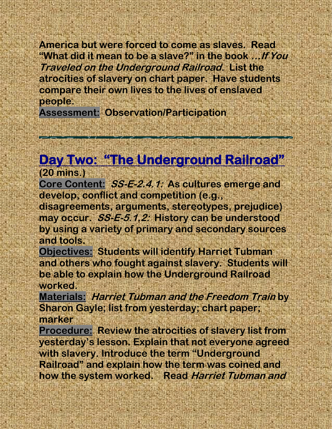**America but were forced to come as slaves. Read "What did it mean to be a slave?" in the book …If You Traveled on the Underground Railroad. List the atrocities of slavery on chart paper. Have students compare their own lives to the lives of enslaved people.**

**Assessment: Observation/Participation**

## **Day Two: "The Underground Railroad" (20 mins.)**

**Core Content: SS-E-2.4.1: As cultures emerge and develop, conflict and competition (e.g.,** 

**disagreements, arguments, stereotypes, prejudice) may occur. SS-E-5.1.2: History can be understood by using a variety of primary and secondary sources and tools.**

**Objectives: Students will identify Harriet Tubman and others who fought against slavery. Students will be able to explain how the Underground Railroad worked.**

**Materials: Harriet Tubman and the Freedom Train by Sharon Gayle; list from yesterday; chart paper; marker**

**Procedure: Review the atrocities of slavery list from yesterday's lesson. Explain that not everyone agreed with slavery. Introduce the term "Underground Railroad" and explain how the term was coined and how the system worked. Read Harriet Tubman and**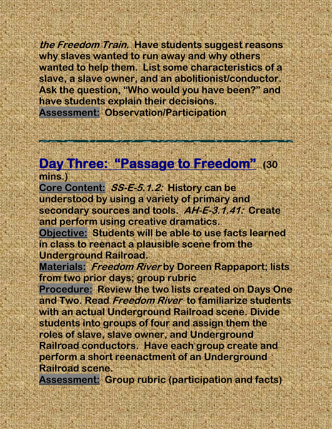**the Freedom Train. Have students suggest reasons why slaves wanted to run away and why others wanted to help them. List some characteristics of a slave, a slave owner, and an abolitionist/conductor. Ask the question, "Who would you have been?" and have students explain their decisions. Assessment: Observation/Participation**

## **Day Three: "Passage to Freedom" (30**

**mins.) Core Content: SS-E-5.1.2: History can be understood by using a variety of primary and secondary sources and tools. AH-E-3.1.41: Create and perform using creative dramatics.**.

**Objective: Students will be able to use facts learned in class to reenact a plausible scene from the Underground Railroad.**

**Materials: Freedom River by Doreen Rappaport; lists from two prior days; group rubric**

**Procedure: Review the two lists created on Days One and Two. Read Freedom River to familiarize students with an actual Underground Railroad scene. Divide students into groups of four and assign them the roles of slave, slave owner, and Underground Railroad conductors. Have each group create and perform a short reenactment of an Underground Railroad scene.** 

**Assessment: Group rubric (participation and facts)**